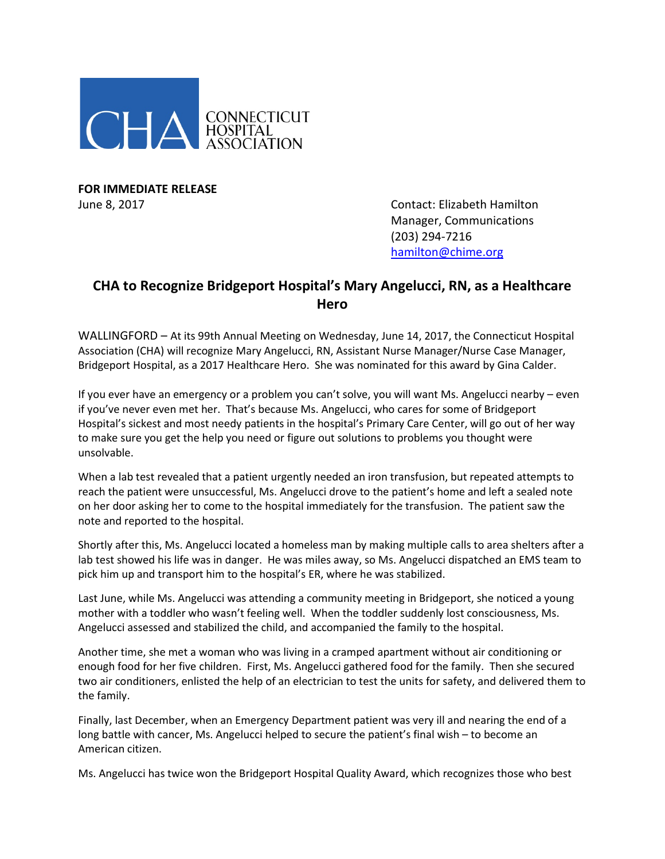

**FOR IMMEDIATE RELEASE**

June 8, 2017 **Contact: Elizabeth Hamilton** Manager, Communications (203) 294-7216 [hamilton@chime.org](mailto:hamilton@chime.org)

## **CHA to Recognize Bridgeport Hospital's Mary Angelucci, RN, as a Healthcare Hero**

WALLINGFORD – At its 99th Annual Meeting on Wednesday, June 14, 2017, the Connecticut Hospital Association (CHA) will recognize Mary Angelucci, RN, Assistant Nurse Manager/Nurse Case Manager, Bridgeport Hospital, as a 2017 Healthcare Hero. She was nominated for this award by Gina Calder.

If you ever have an emergency or a problem you can't solve, you will want Ms. Angelucci nearby – even if you've never even met her. That's because Ms. Angelucci, who cares for some of Bridgeport Hospital's sickest and most needy patients in the hospital's Primary Care Center, will go out of her way to make sure you get the help you need or figure out solutions to problems you thought were unsolvable.

When a lab test revealed that a patient urgently needed an iron transfusion, but repeated attempts to reach the patient were unsuccessful, Ms. Angelucci drove to the patient's home and left a sealed note on her door asking her to come to the hospital immediately for the transfusion. The patient saw the note and reported to the hospital.

Shortly after this, Ms. Angelucci located a homeless man by making multiple calls to area shelters after a lab test showed his life was in danger. He was miles away, so Ms. Angelucci dispatched an EMS team to pick him up and transport him to the hospital's ER, where he was stabilized.

Last June, while Ms. Angelucci was attending a community meeting in Bridgeport, she noticed a young mother with a toddler who wasn't feeling well. When the toddler suddenly lost consciousness, Ms. Angelucci assessed and stabilized the child, and accompanied the family to the hospital.

Another time, she met a woman who was living in a cramped apartment without air conditioning or enough food for her five children. First, Ms. Angelucci gathered food for the family. Then she secured two air conditioners, enlisted the help of an electrician to test the units for safety, and delivered them to the family.

Finally, last December, when an Emergency Department patient was very ill and nearing the end of a long battle with cancer, Ms. Angelucci helped to secure the patient's final wish – to become an American citizen.

Ms. Angelucci has twice won the Bridgeport Hospital Quality Award, which recognizes those who best